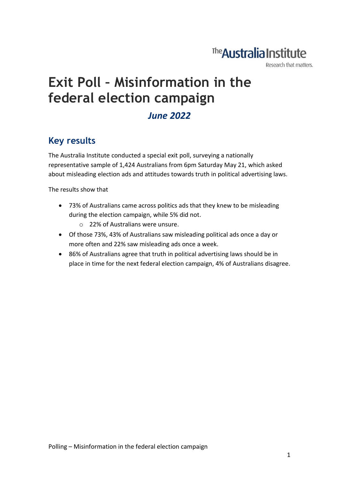## The **Australia Institute**

Research that matters.

# **Exit Poll – Misinformation in the federal election campaign**

#### *June 2022*

#### **Key results**

The Australia Institute conducted a special exit poll, surveying a nationally representative sample of 1,424 Australians from 6pm Saturday May 21, which asked about misleading election ads and attitudes towards truth in political advertising laws.

The results show that

- 73% of Australians came across politics ads that they knew to be misleading during the election campaign, while 5% did not.
	- o 22% of Australians were unsure.
- Of those 73%, 43% of Australians saw misleading political ads once a day or more often and 22% saw misleading ads once a week.
- 86% of Australians agree that truth in political advertising laws should be in place in time for the next federal election campaign, 4% of Australians disagree.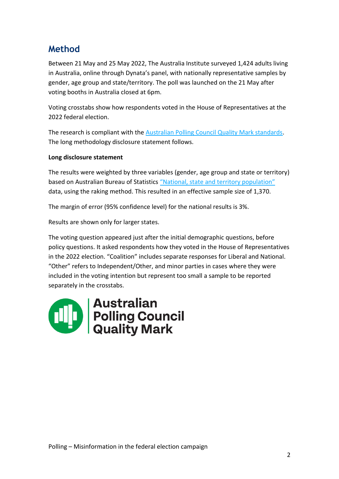### **Method**

Between 21 May and 25 May 2022, The Australia Institute surveyed 1,424 adults living in Australia, online through Dynata's panel, with nationally representative samples by gender, age group and state/territory. The poll was launched on the 21 May after voting booths in Australia closed at 6pm.

Voting crosstabs show how respondents voted in the House of Representatives at the 2022 federal election.

The research is compliant with the [Australian Polling Council Quality Mark standards.](https://www.australianpollingcouncil.com/code-of-conduct) The long methodology disclosure statement follows.

#### **Long disclosure statement**

The results were weighted by three variables (gender, age group and state or territory) based on Australian Bureau of Statistics ["National, state and territory population"](https://www.abs.gov.au/statistics/people/population/national-state-and-territory-population/latest-release) data, using the raking method. This resulted in an effective sample size of 1,370.

The margin of error (95% confidence level) for the national results is 3%.

Results are shown only for larger states.

The voting question appeared just after the initial demographic questions, before policy questions. It asked respondents how they voted in the House of Representatives in the 2022 election. "Coalition" includes separate responses for Liberal and National. "Other" refers to Independent/Other, and minor parties in cases where they were included in the voting intention but represent too small a sample to be reported separately in the crosstabs.

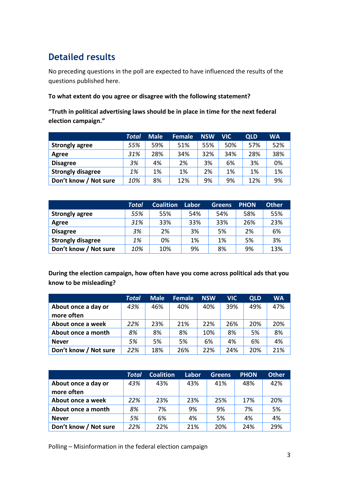## **Detailed results**

No preceding questions in the poll are expected to have influenced the results of the questions published here.

#### **To what extent do you agree or disagree with the following statement?**

**"Truth in political advertising laws should be in place in time for the next federal election campaign."**

|                          | Total | <b>Male</b> | <b>Female</b> | <b>NSW</b> | VIC. | <b>QLD</b> | WA  |
|--------------------------|-------|-------------|---------------|------------|------|------------|-----|
| <b>Strongly agree</b>    | 55%   | 59%         | 51%           | 55%        | 50%  | 57%        | 52% |
| Agree                    | 31%   | 28%         | 34%           | 32%        | 34%  | 28%        | 38% |
| <b>Disagree</b>          | 3%    | 4%          | 2%            | 3%         | 6%   | 3%         | 0%  |
| <b>Strongly disagree</b> | 1%    | 1%          | 1%            | 2%         | 1%   | 1%         | 1%  |
| Don't know / Not sure    | 10%   | 8%          | 12%           | 9%         | 9%   | 12%        | 9%  |

|                          | Total | <b>Coalition</b> | Labor | <b>Greens</b> | <b>PHON</b> | <b>Other</b> |
|--------------------------|-------|------------------|-------|---------------|-------------|--------------|
| <b>Strongly agree</b>    | 55%   | 55%              | 54%   | 54%           | 58%         | 55%          |
| Agree                    | 31%   | 33%              | 33%   | 33%           | 26%         | 23%          |
| <b>Disagree</b>          | 3%    | 2%               | 3%    | 5%            | 2%          | 6%           |
| <b>Strongly disagree</b> | 1%    | 0%               | 1%    | 1%            | 5%          | 3%           |
| Don't know / Not sure    | 10%   | 10%              | 9%    | 8%            | 9%          | 13%          |

**During the election campaign, how often have you come across political ads that you know to be misleading?**

|                       | <b>Total</b> | <b>Male</b> | <b>Female</b> | <b>NSW</b> | <b>VIC</b> | <b>QLD</b> | <b>WA</b> |
|-----------------------|--------------|-------------|---------------|------------|------------|------------|-----------|
| About once a day or   | 43%          | 46%         | 40%           | 40%        | 39%        | 49%        | 47%       |
| more often            |              |             |               |            |            |            |           |
| About once a week     | 22%          | 23%         | 21%           | 22%        | 26%        | 20%        | 20%       |
| About once a month    | 8%           | 8%          | 8%            | 10%        | 8%         | 5%         | 8%        |
| <b>Never</b>          | 5%           | 5%          | 5%            | 6%         | 4%         | 6%         | 4%        |
| Don't know / Not sure | 22%          | 18%         | 26%           | 22%        | 24%        | 20%        | 21%       |

|                       | Total | <b>Coalition</b> | Labor | <b>Greens</b> | <b>PHON</b> | <b>Other</b> |
|-----------------------|-------|------------------|-------|---------------|-------------|--------------|
| About once a day or   | 43%   | 43%              | 43%   | 41%           | 48%         | 42%          |
| more often            |       |                  |       |               |             |              |
| About once a week     | 22%   | 23%              | 23%   | 25%           | 17%         | 20%          |
| About once a month    | 8%    | 7%               | 9%    | 9%            | 7%          | 5%           |
| <b>Never</b>          | 5%    | 6%               | 4%    | 5%            | 4%          | 4%           |
| Don't know / Not sure | 22%   | 22%              | 21%   | 20%           | 24%         | 29%          |

Polling – Misinformation in the federal election campaign